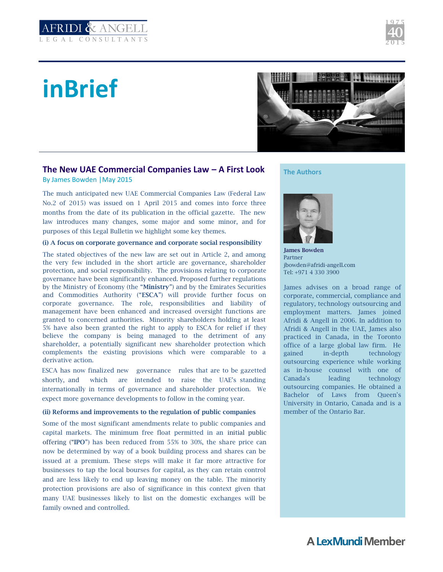

# **inBrief**



## **The New UAE Commercial Companies Law – A First Look** By James Bowden |May 2015

The much anticipated new UAE Commercial Companies Law (Federal Law No.2 of 2015) was issued on 1 April 2015 and comes into force three months from the date of its publication in the official gazette. The new law introduces many changes, some major and some minor, and for purposes of this Legal Bulletin we highlight some key themes.

## **(i) A focus on corporate governance and corporate social responsibility**

The stated objectives of the new law are set out in Article 2, and among the very few included in the short article are governance, shareholder protection, and social responsibility. The provisions relating to corporate governance have been significantly enhanced. Proposed further regulations by the Ministry of Economy (the "**Ministry**") and by the Emirates Securities and Commodities Authority ("**ESCA**") will provide further focus on corporate governance. The role, responsibilities and liability of management have been enhanced and increased oversight functions are granted to concerned authorities. Minority shareholders holding at least 5% have also been granted the right to apply to ESCA for relief if they believe the company is being managed to the detriment of any shareholder, a potentially significant new shareholder protection which complements the existing provisions which were comparable to a derivative action.

ESCA has now finalized new governance rules that are to be gazetted shortly, and which are intended to raise the UAE's standing internationally in terms of governance and shareholder protection. We expect more governance developments to follow in the coming year.

## **(ii) Reforms and improvements to the regulation of public companies**

Some of the most significant amendments relate to public companies and capital markets. The minimum free float permitted in an initial public offering ("**IPO**") has been reduced from 55% to 30%, the share price can now be determined by way of a book building process and shares can be issued at a premium. These steps will make it far more attractive for businesses to tap the local bourses for capital, as they can retain control and are less likely to end up leaving money on the table. The minority protection provisions are also of significance in this context given that many UAE businesses likely to list on the domestic exchanges will be family owned and controlled.

**The Authors**



**James Bowden** Partner jbowden@afridi-angell.com Tel: +971 4 330 3900

James advises on a broad range of corporate, commercial, compliance and regulatory, technology outsourcing and employment matters. James joined Afridi & Angell in 2006. In addition to Afridi & Angell in the UAE, James also practiced in Canada, in the Toronto office of a large global law firm. He gained in-depth technology outsourcing experience while working as in-house counsel with one of Canada's leading technology outsourcing companies. He obtained a Bachelor of Laws from Queen's University in Ontario, Canada and is a member of the Ontario Bar.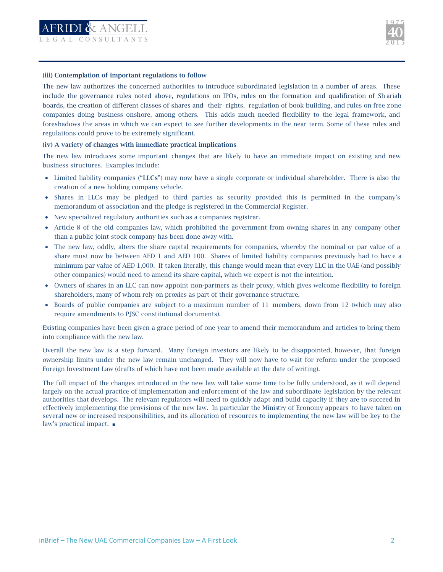

#### **(iii) Contemplation of important regulations to follow**

The new law authorizes the concerned authorities to introduce subordinated legislation in a number of areas. These include the governance rules noted above, regulations on IPOs, rules on the formation and qualification of Sh ariah boards, the creation of different classes of shares and their rights, regulation of book building, and rules on free zone companies doing business onshore, among others. This adds much needed flexibility to the legal framework, and foreshadows the areas in which we can expect to see further developments in the near term. Some of these rules and regulations could prove to be extremely significant.

## **(iv) A variety of changes with immediate practical implications**

The new law introduces some important changes that are likely to have an immediate impact on existing and new business structures. Examples include:

- Limited liability companies ("**LLCs**") may now have a single corporate or individual shareholder. There is also the creation of a new holding company vehicle.
- Shares in LLCs may be pledged to third parties as security provided this is permitted in the company's memorandum of association and the pledge is registered in the Commercial Register.
- New specialized regulatory authorities such as a companies registrar.
- Article 8 of the old companies law, which prohibited the government from owning shares in any company other than a public joint stock company has been done away with.
- The new law, oddly, alters the share capital requirements for companies, whereby the nominal or par value of a share must now be between AED 1 and AED 100. Shares of limited liability companies previously had to hav e a minimum par value of AED 1,000. If taken literally, this change would mean that every LLC in the UAE (and possibly other companies) would need to amend its share capital, which we expect is not the intention.
- Owners of shares in an LLC can now appoint non-partners as their proxy, which gives welcome flexibility to foreign shareholders, many of whom rely on proxies as part of their governance structure.
- Boards of public companies are subject to a maximum number of 11 members, down from 12 (which may also require amendments to PJSC constitutional documents).

Existing companies have been given a grace period of one year to amend their memorandum and articles to bring them into compliance with the new law.

Overall the new law is a step forward. Many foreign investors are likely to be disappointed, however, that foreign ownership limits under the new law remain unchanged. They will now have to wait for reform under the proposed Foreign Investment Law (drafts of which have not been made available at the date of writing).

The full impact of the changes introduced in the new law will take some time to be fully understood, as it will depend largely on the actual practice of implementation and enforcement of the law and subordinate legislation by the relevant authorities that develops. The relevant regulators will need to quickly adapt and build capacity if they are to succeed in effectively implementing the provisions of the new law. In particular the Ministry of Economy appears to have taken on several new or increased responsibilities, and its allocation of resources to implementing the new law will be key to the law's practical impact. ■